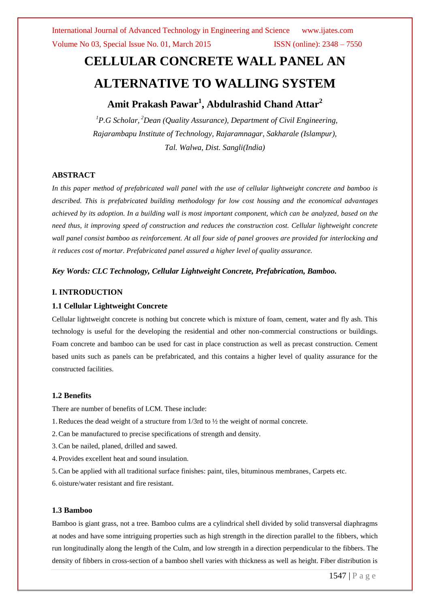International Journal of Advanced Technology in Engineering and Science www.ijates.com Volume No 03, Special Issue No. 01, March 2015 ISSN (online): 2348 – 7550

# **CELLULAR CONCRETE WALL PANEL AN ALTERNATIVE TO WALLING SYSTEM**

## **Amit Prakash Pawar<sup>1</sup> , Abdulrashid Chand Attar<sup>2</sup>**

*<sup>1</sup>P.G Scholar, <sup>2</sup>Dean (Quality Assurance), Department of Civil Engineering, Rajarambapu Institute of Technology, Rajaramnagar, Sakharale (Islampur), Tal. Walwa, Dist. Sangli(India)* 

#### **ABSTRACT**

*In this paper method of prefabricated wall panel with the use of cellular lightweight concrete and bamboo is described. This is prefabricated building methodology for low cost housing and the economical advantages achieved by its adoption. In a building wall is most important component, which can be analyzed, based on the need thus, it improving speed of construction and reduces the construction cost. Cellular lightweight concrete wall panel consist bamboo as reinforcement. At all four side of panel grooves are provided for interlocking and it reduces cost of mortar. Prefabricated panel assured a higher level of quality assurance.*

#### *Key Words: CLC Technology, Cellular Lightweight Concrete, Prefabrication, Bamboo.*

#### **I. INTRODUCTION**

#### **1.1 Cellular Lightweight Concrete**

Cellular lightweight concrete is nothing but concrete which is mixture of foam, cement, water and fly ash. This technology is useful for the developing the residential and other non-commercial constructions or buildings. Foam concrete and bamboo can be used for cast in place construction as well as precast construction. Cement based units such as panels can be prefabricated, and this contains a higher level of quality assurance for the constructed facilities.

#### **1.2 Benefits**

There are number of benefits of LCM. These include:

- 1.Reduces the dead weight of a structure from 1/3rd to ½ the weight of normal concrete.
- 2.Can be manufactured to precise specifications of strength and density.
- 3.Can be nailed, planed, drilled and sawed.
- 4. Provides excellent heat and sound insulation.
- 5.Can be applied with all traditional surface finishes: paint, tiles, bituminous membranes, Carpets etc.
- 6. oisture/water resistant and fire resistant.

#### **1.3 Bamboo**

Bamboo is giant grass, not a tree. Bamboo culms are a cylindrical shell divided by solid transversal diaphragms at nodes and have some intriguing properties such as high strength in the direction parallel to the fibbers, which run longitudinally along the length of the Culm, and low strength in a direction perpendicular to the fibbers. The density of fibbers in cross-section of a bamboo shell varies with thickness as well as height. Fiber distribution is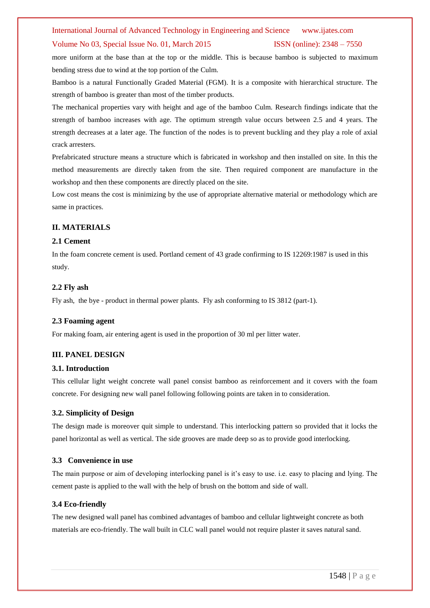#### International Journal of Advanced Technology in Engineering and Science www.ijates.com

#### Volume No 03, Special Issue No. 01, March 2015 ISSN (online): 2348 – 7550

more uniform at the base than at the top or the middle. This is because bamboo is subjected to maximum bending stress due to wind at the top portion of the Culm.

Bamboo is a natural Functionally Graded Material (FGM). It is a composite with hierarchical structure. The strength of bamboo is greater than most of the timber products.

The mechanical properties vary with height and age of the bamboo Culm. Research findings indicate that the strength of bamboo increases with age. The optimum strength value occurs between 2.5 and 4 years. The strength decreases at a later age. The function of the nodes is to prevent buckling and they play a role of axial crack arresters.

Prefabricated structure means a structure which is fabricated in workshop and then installed on site. In this the method measurements are directly taken from the site. Then required component are manufacture in the workshop and then these components are directly placed on the site.

Low cost means the cost is minimizing by the use of appropriate alternative material or methodology which are same in practices.

#### **II. MATERIALS**

#### **2.1 Cement**

In the foam concrete cement is used. Portland cement of 43 grade confirming to IS 12269:1987 is used in this study.

#### **2.2 Fly ash**

Fly ash, the bye - product in thermal power plants. Fly ash conforming to IS 3812 (part-1).

#### **2.3 Foaming agent**

For making foam, air entering agent is used in the proportion of 30 ml per litter water.

#### **III. PANEL DESIGN**

#### **3.1. Introduction**

This cellular light weight concrete wall panel consist bamboo as reinforcement and it covers with the foam concrete. For designing new wall panel following following points are taken in to consideration.

#### **3.2. Simplicity of Design**

The design made is moreover quit simple to understand. This interlocking pattern so provided that it locks the panel horizontal as well as vertical. The side grooves are made deep so as to provide good interlocking.

#### **3.3 Convenience in use**

The main purpose or aim of developing interlocking panel is it's easy to use. i.e. easy to placing and lying. The cement paste is applied to the wall with the help of brush on the bottom and side of wall.

#### **3.4 Eco-friendly**

The new designed wall panel has combined advantages of bamboo and cellular lightweight concrete as both materials are eco-friendly. The wall built in CLC wall panel would not require plaster it saves natural sand.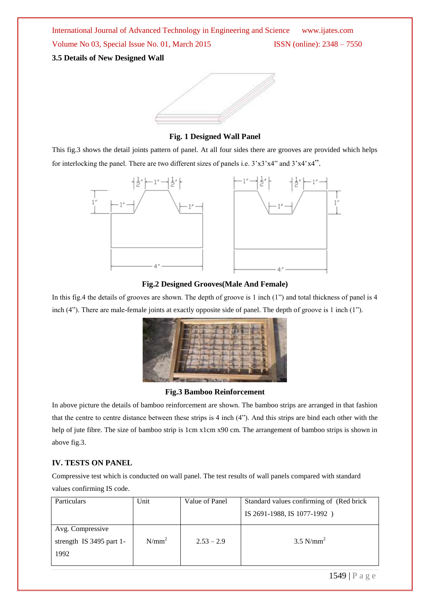International Journal of Advanced Technology in Engineering and Science www.ijates.com Volume No 03, Special Issue No. 01, March 2015 ISSN (online): 2348 – 7550 **3.5 Details of New Designed Wall**



**Fig. 1 Designed Wall Panel**

This fig.3 shows the detail joints pattern of panel. At all four sides there are grooves are provided which helps for interlocking the panel. There are two different sizes of panels i.e. 3'x3'x4" and 3'x4'x4".





### **Fig.2 Designed Grooves(Male And Female)**

In this fig.4 the details of grooves are shown. The depth of groove is 1 inch (1") and total thickness of panel is 4 inch (4"). There are male-female joints at exactly opposite side of panel. The depth of groove is 1 inch (1").



**Fig.3 Bamboo Reinforcement** 

In above picture the details of bamboo reinforcement are shown. The bamboo strips are arranged in that fashion that the centre to centre distance between these strips is 4 inch (4"). And this strips are bind each other with the help of jute fibre. The size of bamboo strip is 1cm x1cm x90 cm. The arrangement of bamboo strips is shown in above fig.3.

## **IV. TESTS ON PANEL**

Compressive test which is conducted on wall panel. The test results of wall panels compared with standard values confirming IS code.

| Particulars                | Unit     | Value of Panel | Standard values confirming of (Red brick) |
|----------------------------|----------|----------------|-------------------------------------------|
|                            |          |                | IS 2691-1988, IS 1077-1992)               |
| Avg. Compressive           |          |                |                                           |
| strength IS $3495$ part 1- | $N/mm^2$ | $2.53 - 2.9$   | $3.5$ N/mm <sup>2</sup>                   |
| 1992                       |          |                |                                           |
|                            |          |                |                                           |